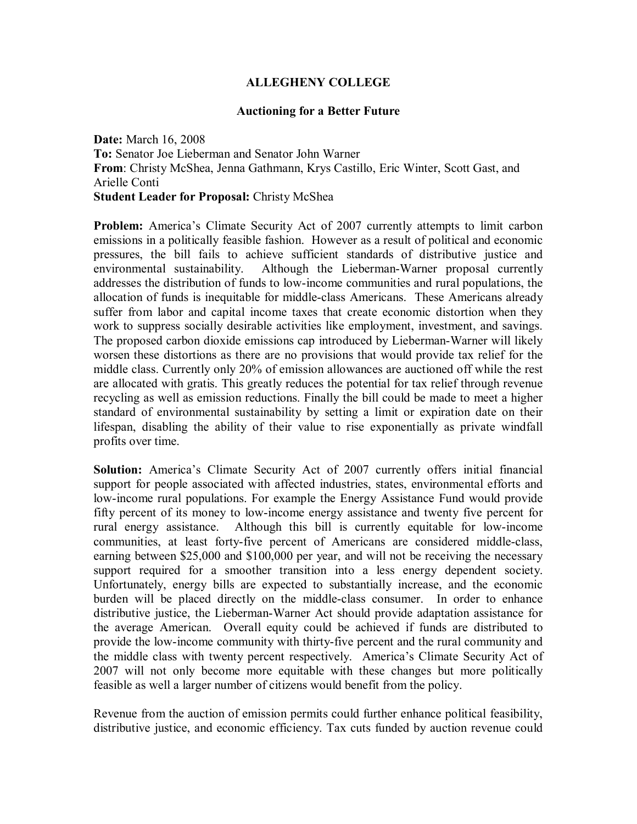## **ALLEGHENY COLLEGE**

## **Auctioning for a Better Future**

**Date:** March 16, 2008 **To:** Senator Joe Lieberman and Senator John Warner **From**: Christy McShea, Jenna Gathmann, Krys Castillo, Eric Winter, Scott Gast, and Arielle Conti **Student Leader for Proposal:** Christy McShea

**Problem:** America's Climate Security Act of 2007 currently attempts to limit carbon emissions in a politically feasible fashion. However as a result of political and economic pressures, the bill fails to achieve sufficient standards of distributive justice and environmental sustainability. Although the Lieberman-Warner proposal currently addresses the distribution of funds to low-income communities and rural populations, the allocation of funds is inequitable for middle-class Americans. These Americans already suffer from labor and capital income taxes that create economic distortion when they work to suppress socially desirable activities like employment, investment, and savings. The proposed carbon dioxide emissions cap introduced by Lieberman-Warner will likely worsen these distortions as there are no provisions that would provide tax relief for the middle class. Currently only 20% of emission allowances are auctioned off while the rest are allocated with gratis. This greatly reduces the potential for tax relief through revenue recycling as well as emission reductions. Finally the bill could be made to meet a higher standard of environmental sustainability by setting a limit or expiration date on their lifespan, disabling the ability of their value to rise exponentially as private windfall profits over time.

**Solution:** America's Climate Security Act of 2007 currently offers initial financial support for people associated with affected industries, states, environmental efforts and low-income rural populations. For example the Energy Assistance Fund would provide fifty percent of its money to low-income energy assistance and twenty five percent for rural energy assistance. Although this bill is currently equitable for low-income communities, at least forty-five percent of Americans are considered middle-class, earning between \$25,000 and \$100,000 per year, and will not be receiving the necessary support required for a smoother transition into a less energy dependent society. Unfortunately, energy bills are expected to substantially increase, and the economic burden will be placed directly on the middle-class consumer. In order to enhance distributive justice, the Lieberman-Warner Act should provide adaptation assistance for the average American. Overall equity could be achieved if funds are distributed to provide the low-income community with thirty-five percent and the rural community and the middle class with twenty percent respectively. Americaís Climate Security Act of 2007 will not only become more equitable with these changes but more politically feasible as well a larger number of citizens would benefit from the policy.

Revenue from the auction of emission permits could further enhance political feasibility, distributive justice, and economic efficiency. Tax cuts funded by auction revenue could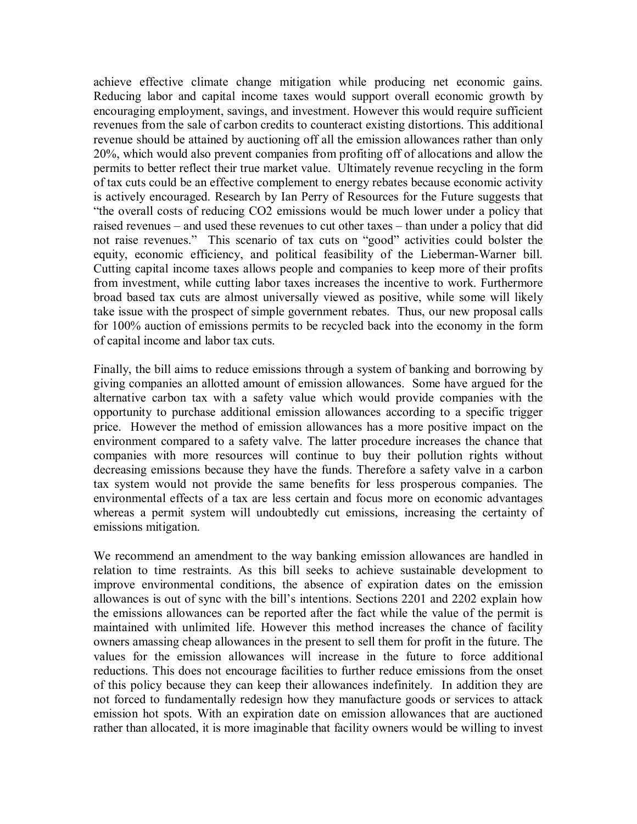achieve effective climate change mitigation while producing net economic gains. Reducing labor and capital income taxes would support overall economic growth by encouraging employment, savings, and investment. However this would require sufficient revenues from the sale of carbon credits to counteract existing distortions. This additional revenue should be attained by auctioning off all the emission allowances rather than only 20%, which would also prevent companies from profiting off of allocations and allow the permits to better reflect their true market value. Ultimately revenue recycling in the form of tax cuts could be an effective complement to energy rebates because economic activity is actively encouraged. Research by Ian Perry of Resources for the Future suggests that "the overall costs of reducing CO2 emissions would be much lower under a policy that raised revenues – and used these revenues to cut other taxes – than under a policy that did not raise revenues." This scenario of tax cuts on "good" activities could bolster the equity, economic efficiency, and political feasibility of the Lieberman-Warner bill. Cutting capital income taxes allows people and companies to keep more of their profits from investment, while cutting labor taxes increases the incentive to work. Furthermore broad based tax cuts are almost universally viewed as positive, while some will likely take issue with the prospect of simple government rebates. Thus, our new proposal calls for 100% auction of emissions permits to be recycled back into the economy in the form of capital income and labor tax cuts.

Finally, the bill aims to reduce emissions through a system of banking and borrowing by giving companies an allotted amount of emission allowances. Some have argued for the alternative carbon tax with a safety value which would provide companies with the opportunity to purchase additional emission allowances according to a specific trigger price. However the method of emission allowances has a more positive impact on the environment compared to a safety valve. The latter procedure increases the chance that companies with more resources will continue to buy their pollution rights without decreasing emissions because they have the funds. Therefore a safety valve in a carbon tax system would not provide the same benefits for less prosperous companies. The environmental effects of a tax are less certain and focus more on economic advantages whereas a permit system will undoubtedly cut emissions, increasing the certainty of emissions mitigation.

We recommend an amendment to the way banking emission allowances are handled in relation to time restraints. As this bill seeks to achieve sustainable development to improve environmental conditions, the absence of expiration dates on the emission allowances is out of sync with the bill's intentions. Sections 2201 and 2202 explain how the emissions allowances can be reported after the fact while the value of the permit is maintained with unlimited life. However this method increases the chance of facility owners amassing cheap allowances in the present to sell them for profit in the future. The values for the emission allowances will increase in the future to force additional reductions. This does not encourage facilities to further reduce emissions from the onset of this policy because they can keep their allowances indefinitely. In addition they are not forced to fundamentally redesign how they manufacture goods or services to attack emission hot spots. With an expiration date on emission allowances that are auctioned rather than allocated, it is more imaginable that facility owners would be willing to invest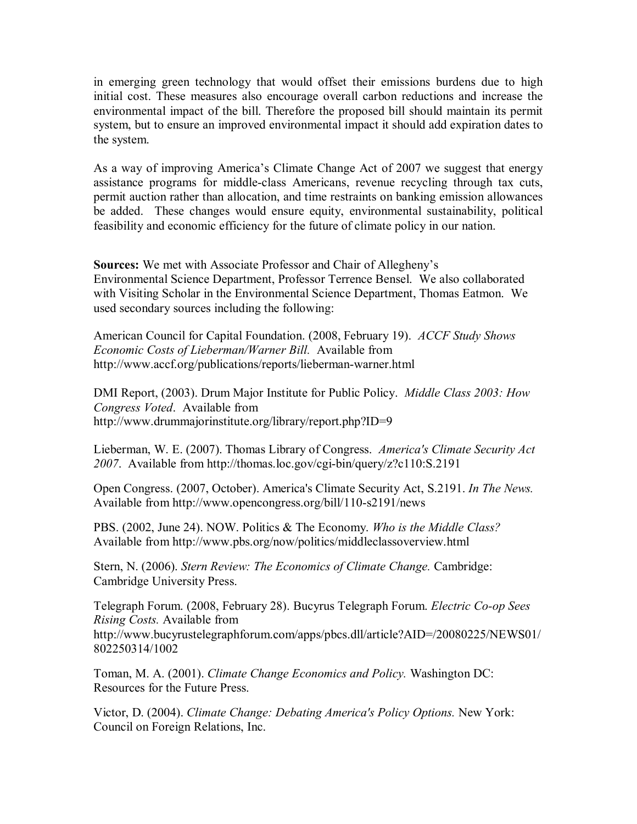in emerging green technology that would offset their emissions burdens due to high initial cost. These measures also encourage overall carbon reductions and increase the environmental impact of the bill. Therefore the proposed bill should maintain its permit system, but to ensure an improved environmental impact it should add expiration dates to the system.

As a way of improving Americaís Climate Change Act of 2007 we suggest that energy assistance programs for middle-class Americans, revenue recycling through tax cuts, permit auction rather than allocation, and time restraints on banking emission allowances be added. These changes would ensure equity, environmental sustainability, political feasibility and economic efficiency for the future of climate policy in our nation.

**Sources:** We met with Associate Professor and Chair of Allegheny's Environmental Science Department, Professor Terrence Bensel. We also collaborated with Visiting Scholar in the Environmental Science Department, Thomas Eatmon. We used secondary sources including the following:

American Council for Capital Foundation. (2008, February 19). *ACCF Study Shows Economic Costs of Lieberman/Warner Bill.* Available from http://www.accf.org/publications/reports/lieberman-warner.html

DMI Report, (2003). Drum Major Institute for Public Policy. *Middle Class 2003: How Congress Voted*. Available from http://www.drummajorinstitute.org/library/report.php?ID=9

Lieberman, W. E. (2007). Thomas Library of Congress. *America's Climate Security Act 2007*. Available from http://thomas.loc.gov/cgi-bin/query/z?c110:S.2191

Open Congress. (2007, October). America's Climate Security Act, S.2191. *In The News.*  Available from http://www.opencongress.org/bill/110-s2191/news

PBS. (2002, June 24). NOW. Politics & The Economy. *Who is the Middle Class?* Available from http://www.pbs.org/now/politics/middleclassoverview.html

Stern, N. (2006). *Stern Review: The Economics of Climate Change.* Cambridge: Cambridge University Press.

Telegraph Forum. (2008, February 28). Bucyrus Telegraph Forum. *Electric Co-op Sees Rising Costs.* Available from http://www.bucyrustelegraphforum.com/apps/pbcs.dll/article?AID=/20080225/NEWS01/ 802250314/1002

Toman, M. A. (2001). *Climate Change Economics and Policy.* Washington DC: Resources for the Future Press.

Victor, D. (2004). *Climate Change: Debating America's Policy Options.* New York: Council on Foreign Relations, Inc.